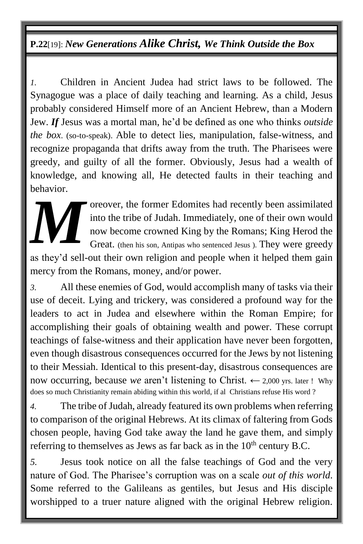# **P.22**[19]: *New Generations Alike Christ, We Think Outside the Box*

*1.* Children in Ancient Judea had strict laws to be followed. The Synagogue was a place of daily teaching and learning. As a child, Jesus probably considered Himself more of an Ancient Hebrew, than a Modern Jew. *If* Jesus was a mortal man, he'd be defined as one who thinks *outside the box*. (so-to-speak). Able to detect lies, manipulation, false-witness, and recognize propaganda that drifts away from the truth. The Pharisees were greedy, and guilty of all the former. Obviously, Jesus had a wealth of knowledge, and knowing all, He detected faults in their teaching and behavior.

> oreover, the former Edomites had recently been assimilated into the tribe of Judah. Immediately, one of their own would now become crowned King by the Romans; King Herod the Great. (then his son, Antipas who sentenced Jesus ). They were greedy

as they'd sell-out their own religion and people when it helped them gain mercy from the Romans, money, and/or power. *M*

*3.* All these enemies of God, would accomplish many of tasks via their use of deceit. Lying and trickery, was considered a profound way for the leaders to act in Judea and elsewhere within the Roman Empire; for accomplishing their goals of obtaining wealth and power. These corrupt teachings of false-witness and their application have never been forgotten, even though disastrous consequences occurred for the Jews by not listening to their Messiah. Identical to this present-day, disastrous consequences are now occurring, because *we* aren't listening to Christ.  $\leftarrow$  2,000 yrs. later ! Why does so much Christianity remain abiding within this world, if al Christians refuse His word ?

*4.* The tribe of Judah, already featured its own problems when referring to comparison of the original Hebrews. At its climax of faltering from Gods chosen people, having God take away the land he gave them, and simply referring to themselves as Jews as far back as in the  $10<sup>th</sup>$  century B.C.

*5.* Jesus took notice on all the false teachings of God and the very nature of God. The Pharisee's corruption was on a scale *out of this world*. Some referred to the Galileans as gentiles, but Jesus and His disciple worshipped to a truer nature aligned with the original Hebrew religion.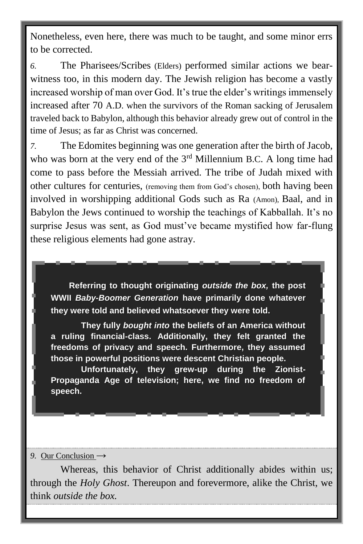Nonetheless, even here, there was much to be taught, and some minor errs to be corrected.

*6.* The Pharisees/Scribes (Elders) performed similar actions we bearwitness too, in this modern day. The Jewish religion has become a vastly increased worship of man over God. It's true the elder's writings immensely increased after 70 A.D. when the survivors of the Roman sacking of Jerusalem traveled back to Babylon, although this behavior already grew out of control in the time of Jesus; as far as Christ was concerned.

*7.* The Edomites beginning was one generation after the birth of Jacob, who was born at the very end of the  $3<sup>rd</sup>$  Millennium B.C. A long time had come to pass before the Messiah arrived. The tribe of Judah mixed with other cultures for centuries, (removing them from God's chosen), both having been involved in worshipping additional Gods such as Ra (Amon), Baal, and in Babylon the Jews continued to worship the teachings of Kabballah. It's no surprise Jesus was sent, as God must've became mystified how far-flung these religious elements had gone astray.

**Referring to thought originating** *outside the box,* **the post WWII** *Baby-Boomer Generation* **have primarily done whatever they were told and believed whatsoever they were told.** 

**They fully** *bought into* **the beliefs of an America without a ruling financial-class. Additionally, they felt granted the freedoms of privacy and speech. Furthermore, they assumed those in powerful positions were descent Christian people.**

**Unfortunately, they grew-up during the Zionist-Propaganda Age of television; here, we find no freedom of speech.** 

#### 9. Our Conclusion →

Whereas, this behavior of Christ additionally abides within us; through the *Holy Ghost*. Thereupon and forevermore, alike the Christ, we think *outside the box.*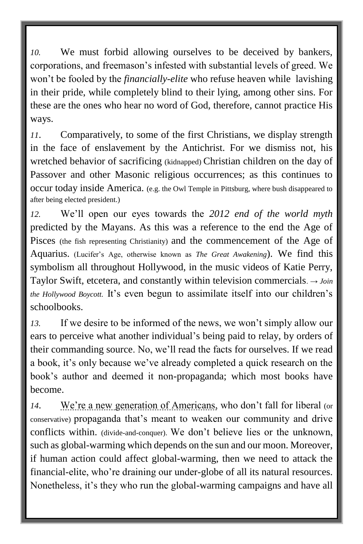*10.* We must forbid allowing ourselves to be deceived by bankers, corporations, and freemason's infested with substantial levels of greed. We won't be fooled by the *financially-elite* who refuse heaven while lavishing in their pride, while completely blind to their lying, among other sins. For these are the ones who hear no word of God, therefore, cannot practice His ways.

*11*. Comparatively, to some of the first Christians, we display strength in the face of enslavement by the Antichrist. For we dismiss not, his wretched behavior of sacrificing (kidnapped) Christian children on the day of Passover and other Masonic religious occurrences; as this continues to occur today inside America. (e.g. the Owl Temple in Pittsburg, where bush disappeared to after being elected president.)

*12.* We'll open our eyes towards the *2012 end of the world myth*  predicted by the Mayans. As this was a reference to the end the Age of Pisces (the fish representing Christianity) and the commencement of the Age of Aquarius. (Lucifer's Age, otherwise known as *The Great Awakening*). We find this symbolism all throughout Hollywood, in the music videos of Katie Perry, Taylor Swift, etcetera, and constantly within television commercials. → *Join the Hollywood Boycott.* It's even begun to assimilate itself into our children's schoolbooks.

*13.* If we desire to be informed of the news, we won't simply allow our ears to perceive what another individual's being paid to relay, by orders of their commanding source. No, we'll read the facts for ourselves. If we read a book, it's only because we've already completed a quick research on the book's author and deemed it non-propaganda; which most books have become.

*14*. We're a new generation of Americans, who don't fall for liberal (or conservative) propaganda that's meant to weaken our community and drive conflicts within. (divide-and-conquer). We don't believe lies or the unknown, such as global-warming which depends on the sun and our moon. Moreover, if human action could affect global-warming, then we need to attack the financial-elite, who're draining our under-globe of all its natural resources. Nonetheless, it's they who run the global-warming campaigns and have all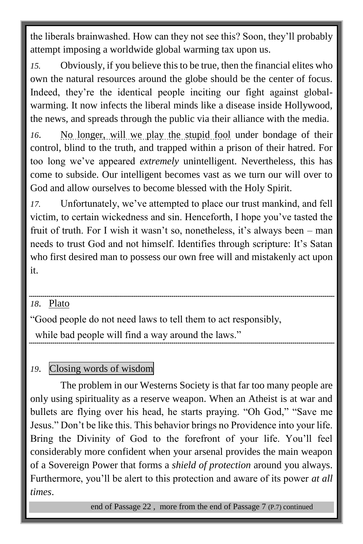the liberals brainwashed. How can they not see this? Soon, they'll probably attempt imposing a worldwide global warming tax upon us.

*15.* Obviously, if you believe this to be true, then the financial elites who own the natural resources around the globe should be the center of focus. Indeed, they're the identical people inciting our fight against globalwarming. It now infects the liberal minds like a disease inside Hollywood, the news, and spreads through the public via their alliance with the media.

*16*. No longer, will we play the stupid fool under bondage of their control, blind to the truth, and trapped within a prison of their hatred. For too long we've appeared *extremely* unintelligent. Nevertheless, this has come to subside. Our intelligent becomes vast as we turn our will over to God and allow ourselves to become blessed with the Holy Spirit.

*17.* Unfortunately, we've attempted to place our trust mankind, and fell victim, to certain wickedness and sin. Henceforth, I hope you've tasted the fruit of truth. For I wish it wasn't so, nonetheless, it's always been – man needs to trust God and not himself. Identifies through scripture: It's Satan who first desired man to possess our own free will and mistakenly act upon it.

## *18*. Plato

"Good people do not need laws to tell them to act responsibly,

while bad people will find a way around the laws."

## *19*. Closing words of wisdom

The problem in our Westerns Society is that far too many people are only using spirituality as a reserve weapon. When an Atheist is at war and bullets are flying over his head, he starts praying. "Oh God," "Save me Jesus." Don't be like this. This behavior brings no Providence into your life. Bring the Divinity of God to the forefront of your life. You'll feel considerably more confident when your arsenal provides the main weapon of a Sovereign Power that forms a *shield of protection* around you always. Furthermore, you'll be alert to this protection and aware of its power *at all times*.

end of Passage 22 , more from the end of Passage 7 (P.7) continued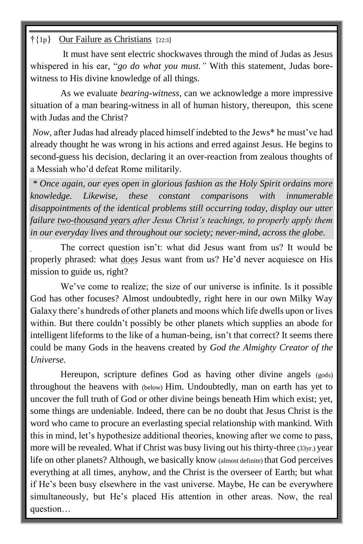#### †{1p} Our Failure as Christians [22:3]

It must have sent electric shockwaves through the mind of Judas as Jesus whispered in his ear, "*go do what you must."* With this statement, Judas borewitness to His divine knowledge of all things.

As we evaluate *bearing-witness*, can we acknowledge a more impressive situation of a man bearing-witness in all of human history, thereupon, this scene with Judas and the Christ?

*Now*, after Judas had already placed himself indebted to the Jews\* he must've had already thought he was wrong in his actions and erred against Jesus. He begins to second-guess his decision, declaring it an over-reaction from zealous thoughts of a Messiah who'd defeat Rome militarily.

*\* Once again, our eyes open in glorious fashion as the Holy Spirit ordains more knowledge. Likewise, these constant comparisons with innumerable disappointments of the identical problems still occurring today, display our utter failure two-thousand years after Jesus Christ's teachings, to properly apply them in our everyday lives and throughout our society; never-mind, across the globe.* 

The correct question isn't: what did Jesus want from us? It would be properly phrased: what does Jesus want from us? He'd never acquiesce on His mission to guide us, right?

We've come to realize; the size of our universe is infinite. Is it possible God has other focuses? Almost undoubtedly, right here in our own Milky Way Galaxy there's hundreds of other planets and moons which life dwells upon or lives within. But there couldn't possibly be other planets which supplies an abode for intelligent lifeforms to the like of a human-being, isn't that correct? It seems there could be many Gods in the heavens created by *God the Almighty Creator of the Universe.* 

Hereupon, scripture defines God as having other divine angels (gods) throughout the heavens with (below) Him. Undoubtedly, man on earth has yet to uncover the full truth of God or other divine beings beneath Him which exist; yet, some things are undeniable. Indeed, there can be no doubt that Jesus Christ is the word who came to procure an everlasting special relationship with mankind. With this in mind, let's hypothesize additional theories, knowing after we come to pass, more will be revealed. What if Christ was busy living out his thirty-three (33yr.) year life on other planets? Although, we basically know (almost definite) that God perceives everything at all times, anyhow, and the Christ is the overseer of Earth; but what if He's been busy elsewhere in the vast universe. Maybe, He can be everywhere simultaneously, but He's placed His attention in other areas. Now, the real question…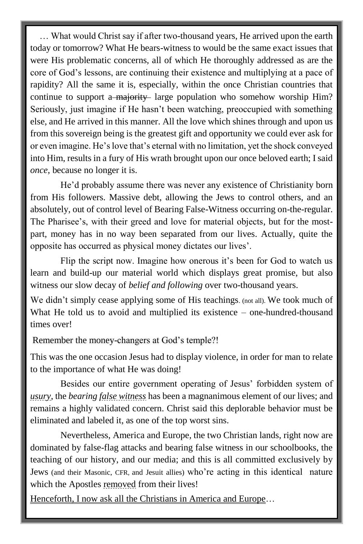… What would Christ say if after two-thousand years, He arrived upon the earth today or tomorrow? What He bears-witness to would be the same exact issues that were His problematic concerns, all of which He thoroughly addressed as are the core of God's lessons, are continuing their existence and multiplying at a pace of rapidity? All the same it is, especially, within the once Christian countries that continue to support a majority large population who somehow worship Him? Seriously, just imagine if He hasn't been watching, preoccupied with something else, and He arrived in this manner. All the love which shines through and upon us from this sovereign being is the greatest gift and opportunity we could ever ask for or even imagine. He's love that's eternal with no limitation, yet the shock conveyed into Him, results in a fury of His wrath brought upon our once beloved earth; I said *once*, because no longer it is.

He'd probably assume there was never any existence of Christianity born from His followers. Massive debt, allowing the Jews to control others, and an absolutely, out of control level of Bearing False-Witness occurring on-the-regular. The Pharisee's, with their greed and love for material objects, but for the mostpart, money has in no way been separated from our lives. Actually, quite the opposite has occurred as physical money dictates our lives'.

Flip the script now. Imagine how onerous it's been for God to watch us learn and build-up our material world which displays great promise, but also witness our slow decay of *belief and following* over two-thousand years.

We didn't simply cease applying some of His teachings. (not all). We took much of What He told us to avoid and multiplied its existence – one-hundred-thousand times over!

Remember the money-changers at God's temple?!

This was the one occasion Jesus had to display violence, in order for man to relate to the importance of what He was doing!

Besides our entire government operating of Jesus' forbidden system of *usury*, the *bearing false witness* has been a magnanimous element of our lives; and remains a highly validated concern. Christ said this deplorable behavior must be eliminated and labeled it, as one of the top worst sins.

Nevertheless, America and Europe, the two Christian lands, right now are dominated by false-flag attacks and bearing false witness in our schoolbooks, the teaching of our history, and our media; and this is all committed exclusively by Jews (and their Masonic, CFR, and Jesuit allies) who're acting in this identical nature which the Apostles removed from their lives!

Henceforth, I now ask all the Christians in America and Europe…